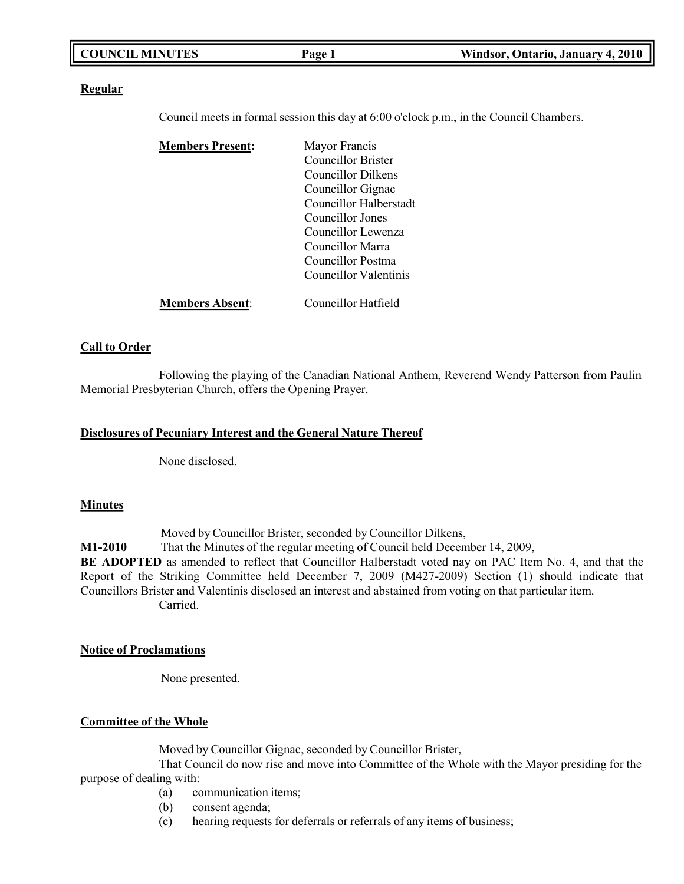| <b>COUNCIL MINUTES</b> | 'age | Windsor, Ontario, January 4, 2010 |
|------------------------|------|-----------------------------------|
|                        |      |                                   |

#### **Regular**

Council meets in formal session this day at 6:00 o'clock p.m., in the Council Chambers.

| <b>Members Present:</b> | Mayor Francis          |
|-------------------------|------------------------|
|                         | Councillor Brister     |
|                         | Councillor Dilkens     |
|                         | Councillor Gignac      |
|                         | Councillor Halberstadt |
|                         | Councillor Jones       |
|                         | Councillor Lewenza     |
|                         | Councillor Marra       |
|                         | Councillor Postma      |
|                         | Councillor Valentinis  |
| <b>Members Absent:</b>  | Councillor Hatfield    |

#### **Call to Order**

Following the playing of the Canadian National Anthem, Reverend Wendy Patterson from Paulin Memorial Presbyterian Church, offers the Opening Prayer.

#### **Disclosures of Pecuniary Interest and the General Nature Thereof**

None disclosed.

#### **Minutes**

Moved by Councillor Brister, seconded by Councillor Dilkens,

**M1-2010** That the Minutes of the regular meeting of Council held December 14, 2009,

**BE ADOPTED** as amended to reflect that Councillor Halberstadt voted nay on PAC Item No. 4, and that the Report of the Striking Committee held December 7, 2009 (M427-2009) Section (1) should indicate that Councillors Brister and Valentinis disclosed an interest and abstained from voting on that particular item. Carried.

#### **Notice of Proclamations**

None presented.

#### **Committee of the Whole**

Moved by Councillor Gignac, seconded by Councillor Brister,

That Council do now rise and move into Committee of the Whole with the Mayor presiding for the purpose of dealing with:

- (a) communication items;
- (b) consent agenda;
- (c) hearing requests for deferrals or referrals of any items of business;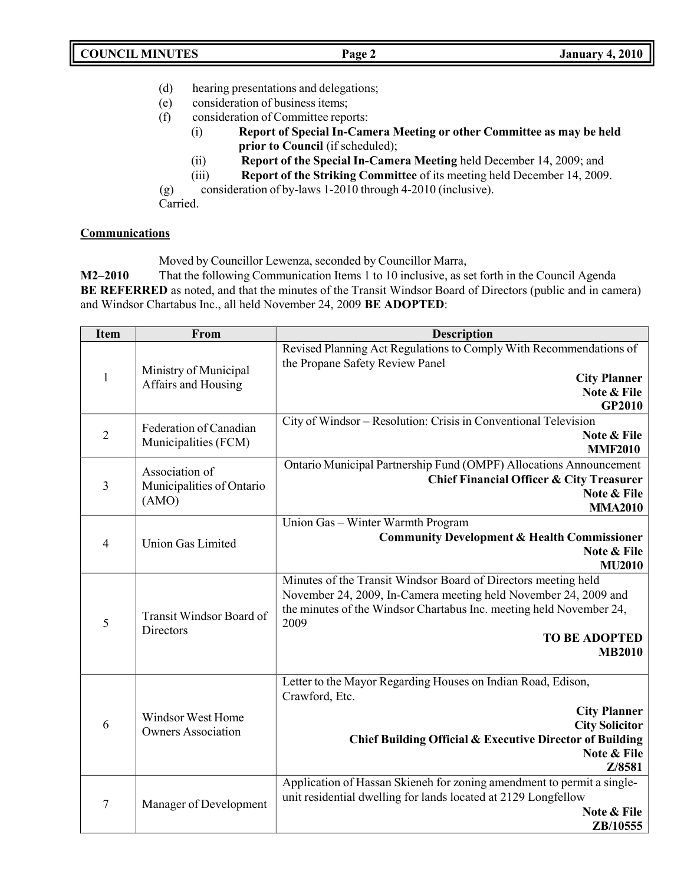- (d) hearing presentations and delegations;
- (e) consideration of business items;
- (f) consideration of Committee reports:
	- (i) **Report of Special In-Camera Meeting or other Committee as may be held prior to Council** (if scheduled);
	- (ii) **Report of the Special In-Camera Meeting** held December 14, 2009; and
	- (iii) **Report of the Striking Committee** of its meeting held December 14, 2009.

(g) consideration of by-laws 1-2010 through 4-2010 (inclusive).

Carried.

### **Communications**

Moved by Councillor Lewenza, seconded by Councillor Marra,

**M2–2010** That the following Communication Items 1 to 10 inclusive, as set forth in the Council Agenda **BE REFERRED** as noted, and that the minutes of the Transit Windsor Board of Directors (public and in camera) and Windsor Chartabus Inc., all held November 24, 2009 **BE ADOPTED**:

| <b>Item</b>    | From                                           | <b>Description</b>                                                          |
|----------------|------------------------------------------------|-----------------------------------------------------------------------------|
|                |                                                | Revised Planning Act Regulations to Comply With Recommendations of          |
|                | Ministry of Municipal                          | the Propane Safety Review Panel                                             |
| $\mathbf 1$    | Affairs and Housing                            | <b>City Planner</b><br>Note & File                                          |
|                |                                                | GP2010                                                                      |
|                | Federation of Canadian                         | City of Windsor - Resolution: Crisis in Conventional Television             |
| $\overline{2}$ | Municipalities (FCM)                           | Note & File                                                                 |
|                |                                                | <b>MMF2010</b>                                                              |
|                | Association of                                 | Ontario Municipal Partnership Fund (OMPF) Allocations Announcement          |
| 3              | Municipalities of Ontario                      | <b>Chief Financial Officer &amp; City Treasurer</b>                         |
|                | (AMO)                                          | Note & File<br><b>MMA2010</b>                                               |
|                |                                                | Union Gas - Winter Warmth Program                                           |
|                |                                                | <b>Community Development &amp; Health Commissioner</b>                      |
| $\overline{4}$ | <b>Union Gas Limited</b>                       | Note & File                                                                 |
|                |                                                | <b>MU2010</b>                                                               |
|                |                                                | Minutes of the Transit Windsor Board of Directors meeting held              |
|                | Transit Windsor Board of<br>Directors          | November 24, 2009, In-Camera meeting held November 24, 2009 and             |
| 5              |                                                | the minutes of the Windsor Chartabus Inc. meeting held November 24,<br>2009 |
|                |                                                | <b>TO BE ADOPTED</b>                                                        |
|                |                                                | <b>MB2010</b>                                                               |
|                |                                                |                                                                             |
|                |                                                | Letter to the Mayor Regarding Houses on Indian Road, Edison,                |
| 6              | Windsor West Home<br><b>Owners Association</b> | Crawford, Etc.                                                              |
|                |                                                | <b>City Planner</b><br><b>City Solicitor</b>                                |
|                |                                                | Chief Building Official & Executive Director of Building                    |
|                |                                                | Note & File                                                                 |
|                |                                                | Z/8581                                                                      |
| 7              |                                                | Application of Hassan Skieneh for zoning amendment to permit a single-      |
|                | Manager of Development                         | unit residential dwelling for lands located at 2129 Longfellow              |
|                |                                                | Note & File                                                                 |
|                |                                                | ZB/10555                                                                    |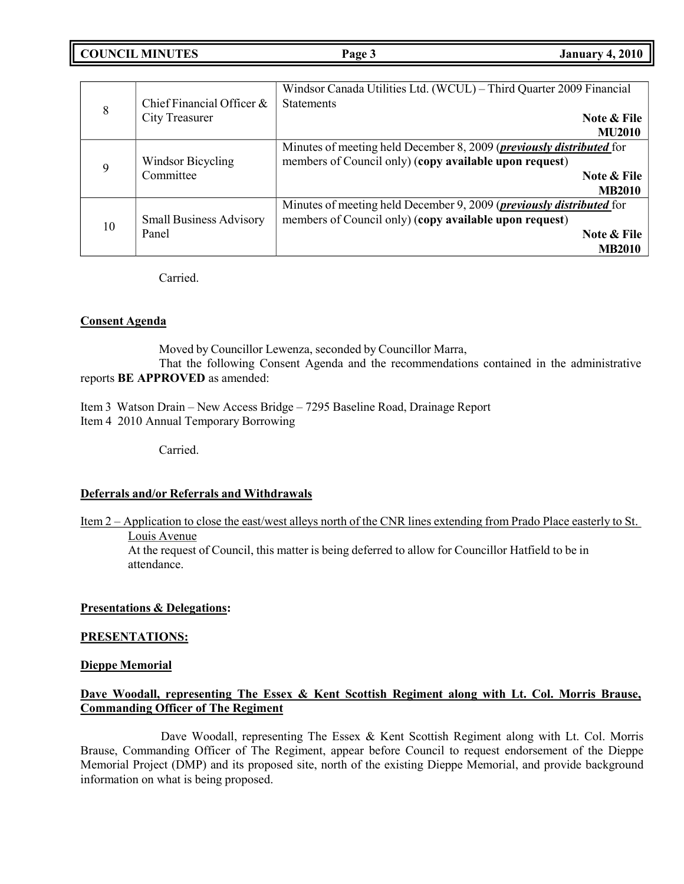**COUNCIL EXECUTE: COUNCIL EXECUTE: Page 3 January 4,** 2010

|    | Chief Financial Officer $\&$   | Windsor Canada Utilities Ltd. (WCUL) - Third Quarter 2009 Financial<br><b>Statements</b> |
|----|--------------------------------|------------------------------------------------------------------------------------------|
| 8  | <b>City Treasurer</b>          | Note & File<br><b>MU2010</b>                                                             |
|    |                                | Minutes of meeting held December 8, 2009 ( <i>previously distributed</i> for             |
| 9  |                                |                                                                                          |
|    | Windsor Bicycling<br>Committee | members of Council only) (copy available upon request)                                   |
|    |                                | Note & File                                                                              |
|    |                                | <b>MB2010</b>                                                                            |
|    |                                | Minutes of meeting held December 9, 2009 ( <i>previously distributed</i> for             |
| 10 | <b>Small Business Advisory</b> | members of Council only) (copy available upon request)                                   |
|    | Panel                          | Note & File                                                                              |
|    |                                | <b>MB2010</b>                                                                            |
|    |                                |                                                                                          |

Carried.

#### **Consent Agenda**

Moved by Councillor Lewenza, seconded by Councillor Marra, That the following Consent Agenda and the recommendations contained in the administrative reports **BE APPROVED** as amended:

Item 3 Watson Drain – New Access Bridge – 7295 Baseline Road, Drainage Report Item 4 2010 Annual Temporary Borrowing

Carried.

#### **Deferrals and/or Referrals and Withdrawals**

Item 2 – Application to close the east/west alleys north of the CNR lines extending from Prado Place easterly to St. Louis Avenue

At the request of Council, this matter is being deferred to allow for Councillor Hatfield to be in attendance.

#### **Presentations & Delegations:**

#### **PRESENTATIONS:**

#### **Dieppe Memorial**

### **Dave Woodall, representing The Essex & Kent Scottish Regiment along with Lt. Col. Morris Brause, Commanding Officer of The Regiment**

Dave Woodall, representing The Essex & Kent Scottish Regiment along with Lt. Col. Morris Brause, Commanding Officer of The Regiment, appear before Council to request endorsement of the Dieppe Memorial Project (DMP) and its proposed site, north of the existing Dieppe Memorial, and provide background information on what is being proposed.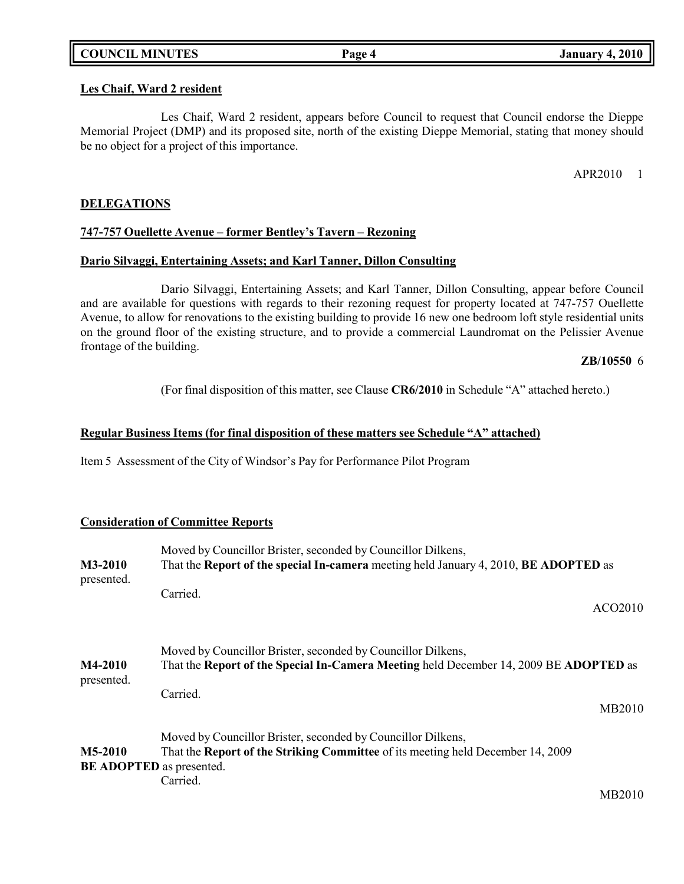|  | <b>COUNCIL MINUTES</b> |
|--|------------------------|
|--|------------------------|

#### **Les Chaif, Ward 2 resident**

Les Chaif, Ward 2 resident, appears before Council to request that Council endorse the Dieppe Memorial Project (DMP) and its proposed site, north of the existing Dieppe Memorial, stating that money should be no object for a project of this importance.

APR2010 1

#### **DELEGATIONS**

#### **747-757 Ouellette Avenue – former Bentley's Tavern – Rezoning**

### **Dario Silvaggi, Entertaining Assets; and Karl Tanner, Dillon Consulting**

Dario Silvaggi, Entertaining Assets; and Karl Tanner, Dillon Consulting, appear before Council and are available for questions with regards to their rezoning request for property located at 747-757 Ouellette Avenue, to allow for renovations to the existing building to provide 16 new one bedroom loft style residential units on the ground floor of the existing structure, and to provide a commercial Laundromat on the Pelissier Avenue frontage of the building.

#### **ZB/10550** 6

(For final disposition of this matter, see Clause **CR6/2010** in Schedule "A" attached hereto.)

#### **Regular Business Items (for final disposition of these matters see Schedule "A" attached)**

Item 5 Assessment of the City of Windsor's Pay for Performance Pilot Program

#### **Consideration of Committee Reports**

| M3-2010<br>presented.        | Moved by Councillor Brister, seconded by Councillor Dilkens,<br>That the Report of the special In-camera meeting held January 4, 2010, BE ADOPTED as                                      |                     |
|------------------------------|-------------------------------------------------------------------------------------------------------------------------------------------------------------------------------------------|---------------------|
|                              | Carried.                                                                                                                                                                                  | ACO <sub>2010</sub> |
| <b>M4-2010</b><br>presented. | Moved by Councillor Brister, seconded by Councillor Dilkens,<br>That the Report of the Special In-Camera Meeting held December 14, 2009 BE ADOPTED as                                     |                     |
|                              | Carried.                                                                                                                                                                                  | MB2010              |
| M5-2010                      | Moved by Councillor Brister, seconded by Councillor Dilkens,<br>That the <b>Report of the Striking Committee</b> of its meeting held December 14, 2009<br><b>BE ADOPTED</b> as presented. |                     |
|                              | Carried.                                                                                                                                                                                  | MB2010              |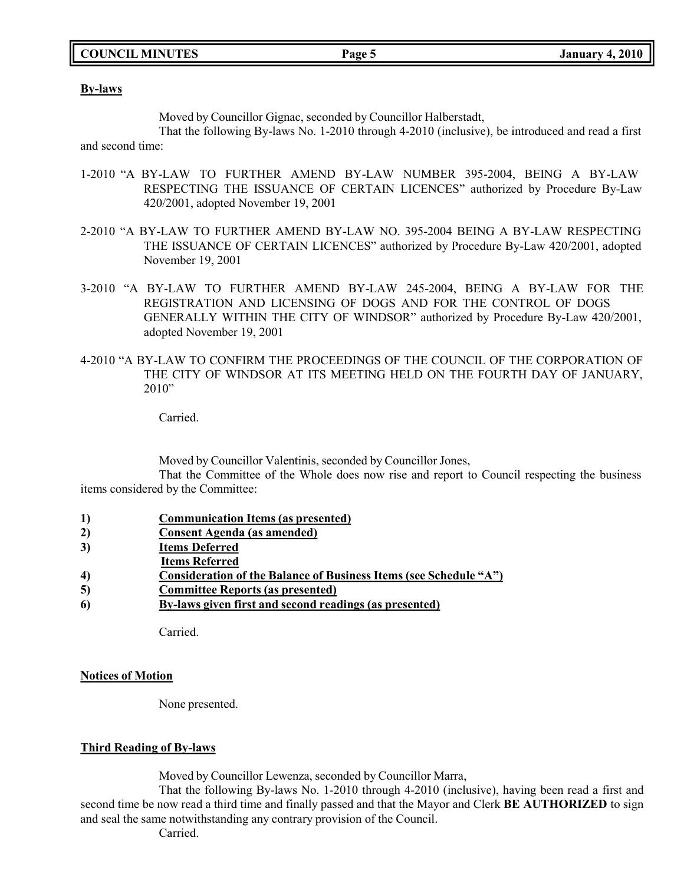#### **By-laws**

Moved by Councillor Gignac, seconded by Councillor Halberstadt,

That the following By-laws No. 1-2010 through 4-2010 (inclusive), be introduced and read a first and second time:

- 1-2010 "A BY-LAW TO FURTHER AMEND BY-LAW NUMBER 395-2004, BEING A BY-LAW RESPECTING THE ISSUANCE OF CERTAIN LICENCES" authorized by Procedure By-Law 420/2001, adopted November 19, 2001
- 2-2010 "A BY-LAW TO FURTHER AMEND BY-LAW NO. 395-2004 BEING A BY-LAW RESPECTING THE ISSUANCE OF CERTAIN LICENCES" authorized by Procedure By-Law 420/2001, adopted November 19, 2001
- 3-2010 "A BY-LAW TO FURTHER AMEND BY-LAW 245-2004, BEING A BY-LAW FOR THE REGISTRATION AND LICENSING OF DOGS AND FOR THE CONTROL OF DOGS GENERALLY WITHIN THE CITY OF WINDSOR" authorized by Procedure By-Law 420/2001, adopted November 19, 2001
- 4-2010 "A BY-LAW TO CONFIRM THE PROCEEDINGS OF THE COUNCIL OF THE CORPORATION OF THE CITY OF WINDSOR AT ITS MEETING HELD ON THE FOURTH DAY OF JANUARY,  $2010"$

Carried.

Moved by Councillor Valentinis, seconded by Councillor Jones,

That the Committee of the Whole does now rise and report to Council respecting the business items considered by the Committee:

- **1) Communication Items (as presented)**
- **2) Consent Agenda (as amended)**
- **3) Items Deferred**
- **Items Referred**
- **4) Consideration of the Balance of Business Items (see Schedule "A")**
- **5) Committee Reports (as presented)**
- **6) By-laws given first and second readings (as presented)**

Carried.

#### **Notices of Motion**

None presented.

#### **Third Reading of By-laws**

Moved by Councillor Lewenza, seconded by Councillor Marra,

That the following By-laws No. 1-2010 through 4-2010 (inclusive), having been read a first and second time be now read a third time and finally passed and that the Mayor and Clerk **BE AUTHORIZED** to sign and seal the same notwithstanding any contrary provision of the Council.

Carried.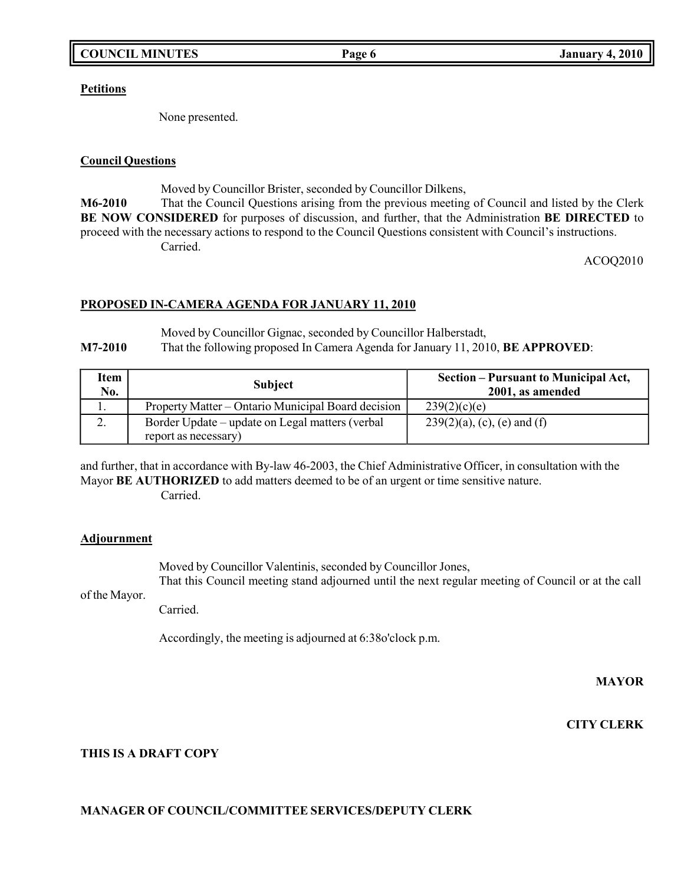#### **Petitions**

None presented.

#### **Council Questions**

Moved by Councillor Brister, seconded by Councillor Dilkens,

**M6-2010** That the Council Questions arising from the previous meeting of Council and listed by the Clerk **BE NOW CONSIDERED** for purposes of discussion, and further, that the Administration **BE DIRECTED** to proceed with the necessary actions to respond to the Council Questions consistent with Council's instructions. Carried.

ACOQ2010

### **PROPOSED IN-CAMERA AGENDA FOR JANUARY 11, 2010**

Moved by Councillor Gignac, seconded by Councillor Halberstadt,

**M7-2010** That the following proposed In Camera Agenda for January 11, 2010, **BE APPROVED**:

| Item<br>No. | <b>Subject</b>                                     | Section – Pursuant to Municipal Act,<br>2001, as amended |
|-------------|----------------------------------------------------|----------------------------------------------------------|
| . .         | Property Matter – Ontario Municipal Board decision | 239(2)(c)(e)                                             |
| ٠.          | Border Update – update on Legal matters (verbal    | $239(2)(a)$ , (c), (e) and (f)                           |
|             | report as necessary)                               |                                                          |

and further, that in accordance with By-law 46-2003, the Chief Administrative Officer, in consultation with the Mayor **BE AUTHORIZED** to add matters deemed to be of an urgent or time sensitive nature. Carried.

# **Adjournment**

Moved by Councillor Valentinis, seconded by Councillor Jones, That this Council meeting stand adjourned until the next regular meeting of Council or at the call

of the Mayor.

Carried.

Accordingly, the meeting is adjourned at 6:38o'clock p.m.

**MAYOR**

**CITY CLERK**

# **THIS IS A DRAFT COPY**

# **MANAGER OF COUNCIL/COMMITTEE SERVICES/DEPUTY CLERK**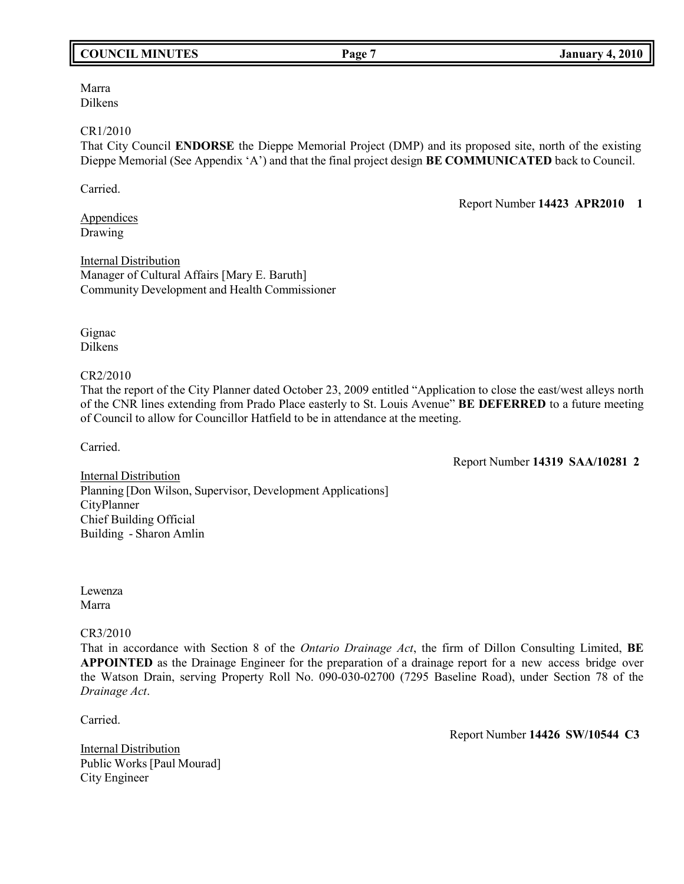#### **COUNCIL MINUTES Page 7 January 4, 2010**

#### Marra Dilkens

#### CR1/2010

That City Council **ENDORSE** the Dieppe Memorial Project (DMP) and its proposed site, north of the existing Dieppe Memorial (See Appendix 'A') and that the final project design **BE COMMUNICATED** back to Council.

Carried.

Report Number **14423 APR2010 1**

**Appendices** Drawing

Internal Distribution Manager of Cultural Affairs [Mary E. Baruth] Community Development and Health Commissioner

Gignac Dilkens

#### CR2/2010

That the report of the City Planner dated October 23, 2009 entitled "Application to close the east/west alleys north of the CNR lines extending from Prado Place easterly to St. Louis Avenue" **BE DEFERRED** to a future meeting of Council to allow for Councillor Hatfield to be in attendance at the meeting.

Carried.

Report Number **14319 SAA/10281 2**

Internal Distribution Planning [Don Wilson, Supervisor, Development Applications] CityPlanner Chief Building Official Building - Sharon Amlin

Lewenza Marra

CR3/2010

That in accordance with Section 8 of the *Ontario Drainage Act*, the firm of Dillon Consulting Limited, **BE APPOINTED** as the Drainage Engineer for the preparation of a drainage report for a new access bridge over the Watson Drain, serving Property Roll No. 090-030-02700 (7295 Baseline Road), under Section 78 of the *Drainage Act*.

Carried.

Report Number **14426 SW/10544 C3**

Internal Distribution Public Works [Paul Mourad] City Engineer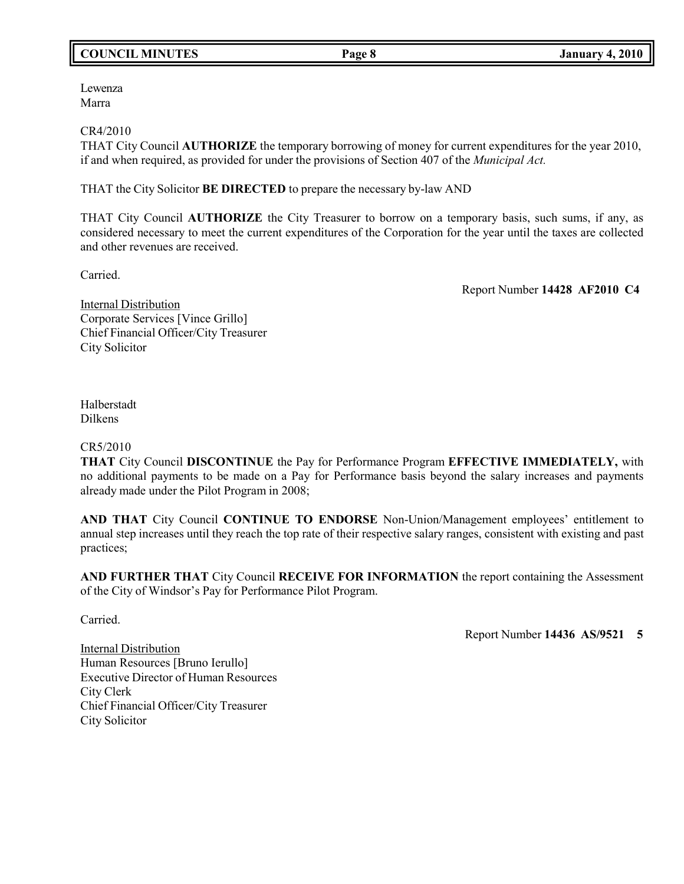# **COUNCIL MINUTES Page 8 January 4, 2010**

Lewenza Marra

#### CR4/2010

THAT City Council **AUTHORIZE** the temporary borrowing of money for current expenditures for the year 2010, if and when required, as provided for under the provisions of Section 407 of the *Municipal Act.*

THAT the City Solicitor **BE DIRECTED** to prepare the necessary by-law AND

THAT City Council **AUTHORIZE** the City Treasurer to borrow on a temporary basis, such sums, if any, as considered necessary to meet the current expenditures of the Corporation for the year until the taxes are collected and other revenues are received.

Carried.

Report Number **14428 AF2010 C4**

Internal Distribution Corporate Services [Vince Grillo] Chief Financial Officer/City Treasurer City Solicitor

Halberstadt Dilkens

#### CR5/2010

**THAT** City Council **DISCONTINUE** the Pay for Performance Program **EFFECTIVE IMMEDIATELY,** with no additional payments to be made on a Pay for Performance basis beyond the salary increases and payments already made under the Pilot Program in 2008;

**AND THAT** City Council **CONTINUE TO ENDORSE** Non-Union/Management employees' entitlement to annual step increases until they reach the top rate of their respective salary ranges, consistent with existing and past practices;

**AND FURTHER THAT** City Council **RECEIVE FOR INFORMATION** the report containing the Assessment of the City of Windsor's Pay for Performance Pilot Program.

Carried.

Report Number **14436 AS/9521 5**

Internal Distribution Human Resources [Bruno Ierullo] Executive Director of Human Resources City Clerk Chief Financial Officer/City Treasurer City Solicitor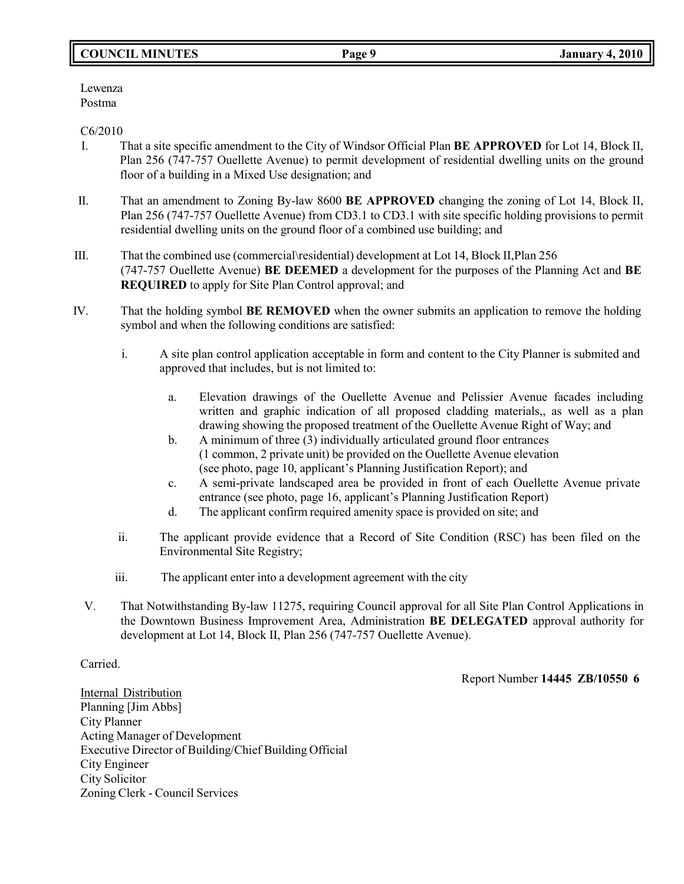# **COUNCIL MINUTES Page 9 January 4, 2010**

Lewenza Postma

#### C6/2010

- I. That a site specific amendment to the City of Windsor Official Plan **BE APPROVED** for Lot 14, Block II, Plan 256 (747-757 Ouellette Avenue) to permit development of residential dwelling units on the ground floor of a building in a Mixed Use designation; and
- II. That an amendment to Zoning By-law 8600 **BE APPROVED** changing the zoning of Lot 14, Block II, Plan 256 (747-757 Ouellette Avenue) from CD3.1 to CD3.1 with site specific holding provisions to permit residential dwelling units on the ground floor of a combined use building; and
- III. That the combined use (commercial\residential) development at Lot 14, Block II,Plan 256 (747-757 Ouellette Avenue) **BE DEEMED** a development for the purposes of the Planning Act and **BE REQUIRED** to apply for Site Plan Control approval; and
- IV. That the holding symbol **BE REMOVED** when the owner submits an application to remove the holding symbol and when the following conditions are satisfied:
	- i. A site plan control application acceptable in form and content to the City Planner is submited and approved that includes, but is not limited to:
		- a. Elevation drawings of the Ouellette Avenue and Pelissier Avenue facades including written and graphic indication of all proposed cladding materials,, as well as a plan drawing showing the proposed treatment of the Ouellette Avenue Right of Way; and
		- b. A minimum of three (3) individually articulated ground floor entrances (1 common, 2 private unit) be provided on the Ouellette Avenue elevation (see photo, page 10, applicant's Planning Justification Report); and
		- c. A semi-private landscaped area be provided in front of each Ouellette Avenue private entrance (see photo, page 16, applicant's Planning Justification Report)
		- d. The applicant confirm required amenity space is provided on site; and
	- ii. The applicant provide evidence that a Record of Site Condition (RSC) has been filed on the Environmental Site Registry;
	- iii. The applicant enter into a development agreement with the city
	- V. That Notwithstanding By-law 11275, requiring Council approval for all Site Plan Control Applications in the Downtown Business Improvement Area, Administration **BE DELEGATED** approval authority for development at Lot 14, Block II, Plan 256 (747-757 Ouellette Avenue).

#### Carried.

Report Number **14445 ZB/10550 6**

Internal Distribution Planning [Jim Abbs] City Planner Acting Manager of Development Executive Director of Building/Chief Building Official City Engineer City Solicitor Zoning Clerk - Council Services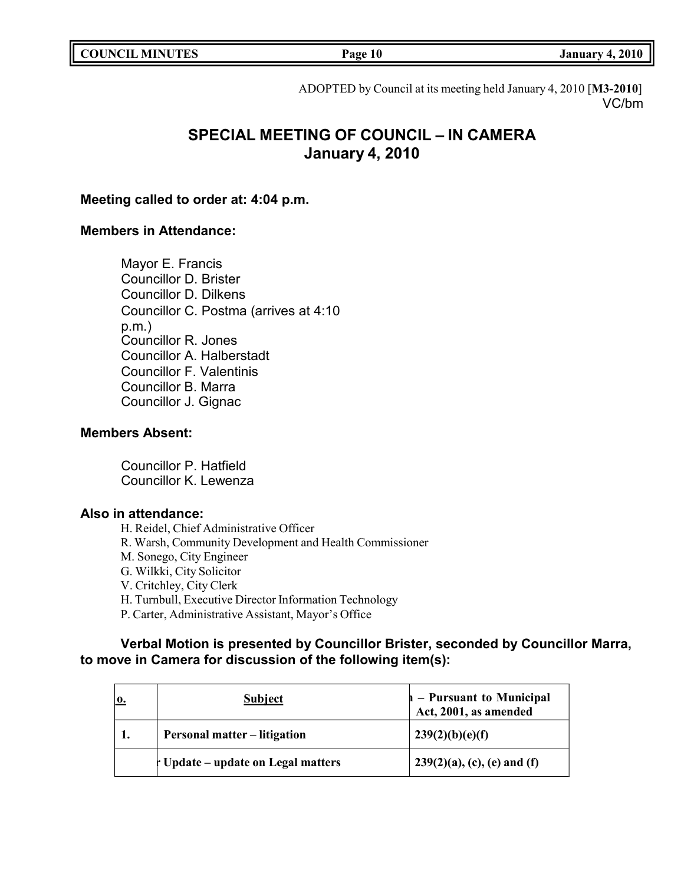| <b>COUNCIL MINUTES</b> |
|------------------------|
|------------------------|

# ADOPTED by Council at its meeting held January 4, 2010 [**M3-2010**]

VC/bm

# **SPECIAL MEETING OF COUNCIL – IN CAMERA January 4, 2010**

# **Meeting called to order at: 4:04 p.m.**

# **Members in Attendance:**

Mayor E. Francis Councillor D. Brister Councillor D. Dilkens Councillor C. Postma (arrives at 4:10 p.m.) Councillor R. Jones Councillor A. Halberstadt Councillor F. Valentinis Councillor B. Marra Councillor J. Gignac

# **Members Absent:**

Councillor P. Hatfield Councillor K. Lewenza

# **Also in attendance:**

H. Reidel, Chief Administrative Officer R. Warsh, Community Development and Health Commissioner M. Sonego, City Engineer G. Wilkki, City Solicitor V. Critchley, City Clerk H. Turnbull, Executive Director Information Technology P. Carter, Administrative Assistant, Mayor's Office

# **Verbal Motion is presented by Councillor Brister, seconded by Councillor Marra, to move in Camera for discussion of the following item(s):**

| 0. | <b>Subject</b>                                | $\vert$ – Pursuant to Municipal<br>Act, 2001, as amended |
|----|-----------------------------------------------|----------------------------------------------------------|
|    | <b>Personal matter – litigation</b>           | 239(2)(b)(e)(f)                                          |
|    | $\mathbf{r}$ Update – update on Legal matters | $239(2)(a)$ , (c), (e) and (f)                           |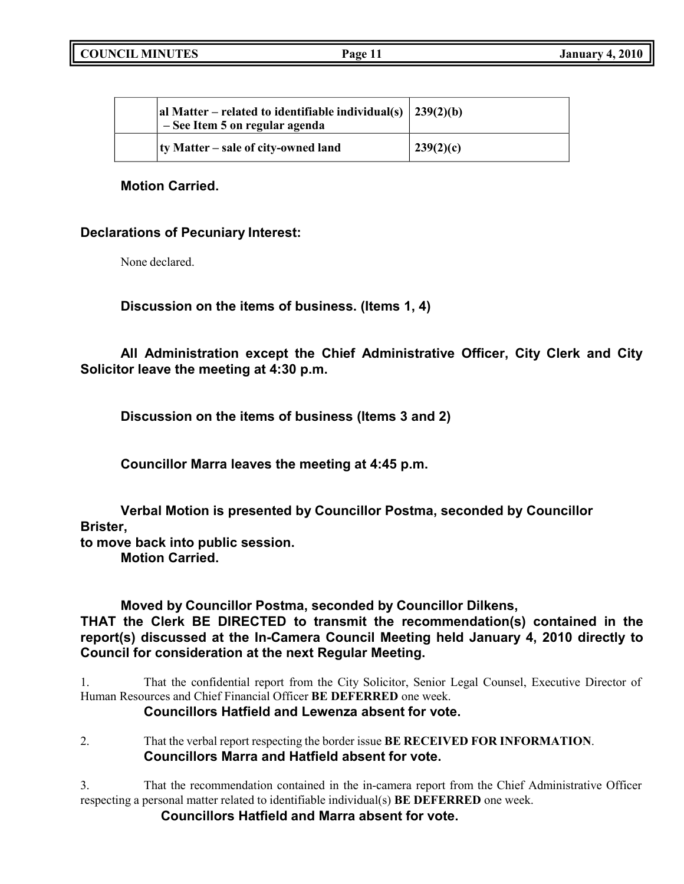| al Matter – related to identifiable individual(s) $\vert 239(2)(b) \vert$<br>- See Item 5 on regular agenda |           |
|-------------------------------------------------------------------------------------------------------------|-----------|
| ty Matter – sale of city-owned land                                                                         | 239(2)(c) |

## **Motion Carried.**

# **Declarations of Pecuniary Interest:**

None declared.

**Discussion on the items of business. (Items 1, 4)**

**All Administration except the Chief Administrative Officer, City Clerk and City Solicitor leave the meeting at 4:30 p.m.**

**Discussion on the items of business (Items 3 and 2)**

**Councillor Marra leaves the meeting at 4:45 p.m.**

**Verbal Motion is presented by Councillor Postma, seconded by Councillor Brister,**

**to move back into public session.**

**Motion Carried.**

# **Moved by Councillor Postma, seconded by Councillor Dilkens,**

**THAT the Clerk BE DIRECTED to transmit the recommendation(s) contained in the report(s) discussed at the In-Camera Council Meeting held January 4, 2010 directly to Council for consideration at the next Regular Meeting.**

1. That the confidential report from the City Solicitor, Senior Legal Counsel, Executive Director of Human Resources and Chief Financial Officer **BE DEFERRED** one week.

# **Councillors Hatfield and Lewenza absent for vote.**

2. That the verbal report respecting the border issue **BE RECEIVED FOR INFORMATION**. **Councillors Marra and Hatfield absent for vote.**

3. That the recommendation contained in the in-camera report from the Chief Administrative Officer respecting a personal matter related to identifiable individual(s) **BE DEFERRED** one week.

**Councillors Hatfield and Marra absent for vote.**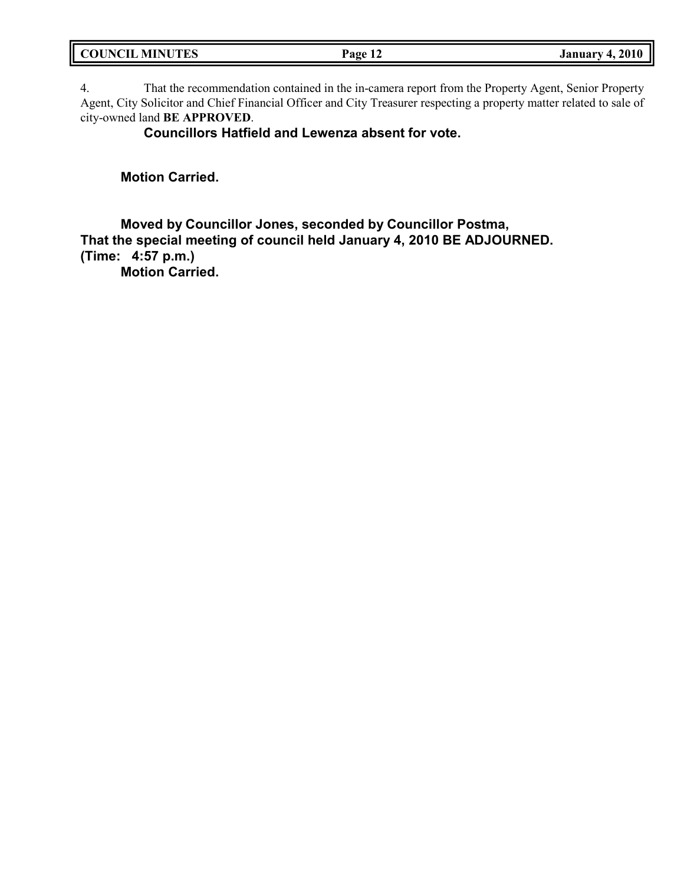| <b>COUNCIL MINUTES</b> | Page<br>- -- | 2010<br>. January 4. |
|------------------------|--------------|----------------------|
|                        |              |                      |

4. That the recommendation contained in the in-camera report from the Property Agent, Senior Property Agent, City Solicitor and Chief Financial Officer and City Treasurer respecting a property matter related to sale of city-owned land **BE APPROVED**.

**Councillors Hatfield and Lewenza absent for vote.**

**Motion Carried.**

**Moved by Councillor Jones, seconded by Councillor Postma, That the special meeting of council held January 4, 2010 BE ADJOURNED. (Time: 4:57 p.m.)**

**Motion Carried.**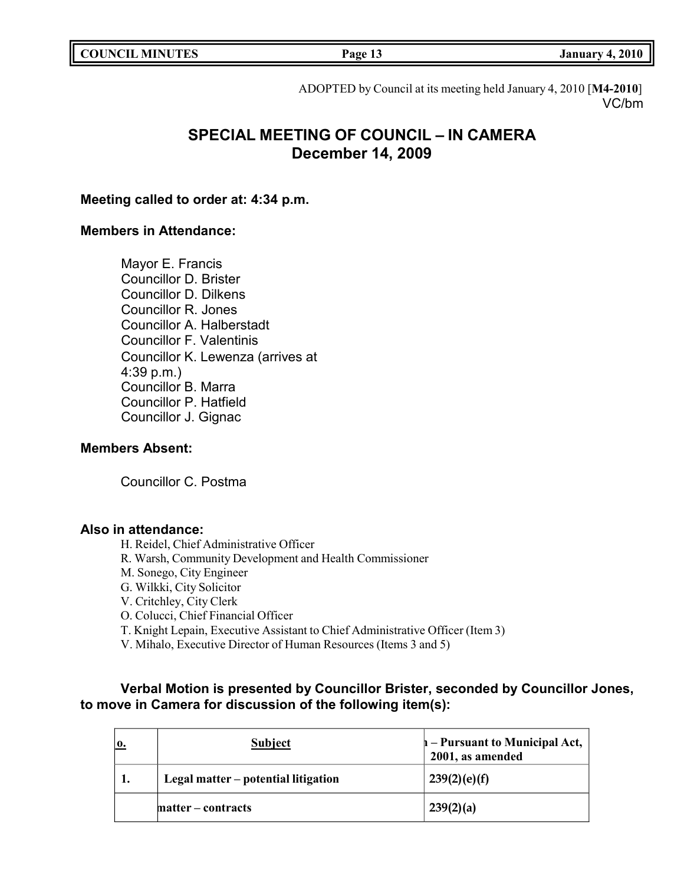|  | <b>COUNCIL MINUTES</b> |  |
|--|------------------------|--|
|--|------------------------|--|

**Council COUNCIL COUNCIL Page 13 COUNCIL EXECUTE: COUNCIL EXECUTE: COUNCIL EXECUTE: COUNCIL EXECUTE: COUNCIL** 

ADOPTED by Council at its meeting held January 4, 2010 [**M4-2010**] VC/bm

# **SPECIAL MEETING OF COUNCIL – IN CAMERA December 14, 2009**

### **Meeting called to order at: 4:34 p.m.**

# **Members in Attendance:**

Mayor E. Francis Councillor D. Brister Councillor D. Dilkens Councillor R. Jones Councillor A. Halberstadt Councillor F. Valentinis Councillor K. Lewenza (arrives at 4:39 p.m.) Councillor B. Marra Councillor P. Hatfield Councillor J. Gignac

### **Members Absent:**

Councillor C. Postma

### **Also in attendance:**

H. Reidel, Chief Administrative Officer

- R. Warsh, Community Development and Health Commissioner
- M. Sonego, City Engineer

G. Wilkki, City Solicitor

V. Critchley, City Clerk

O. Colucci, Chief Financial Officer

T. Knight Lepain, Executive Assistant to Chief Administrative Officer (Item 3)

V. Mihalo, Executive Director of Human Resources (Items 3 and 5)

# **Verbal Motion is presented by Councillor Brister, seconded by Councillor Jones, to move in Camera for discussion of the following item(s):**

| 0. | <b>Subject</b>                      | $\mathbf{h}$ – Pursuant to Municipal Act,<br>2001, as amended |
|----|-------------------------------------|---------------------------------------------------------------|
| 1. | Legal matter – potential litigation | 239(2)(e)(f)                                                  |
|    | matter – contracts                  | 239(2)(a)                                                     |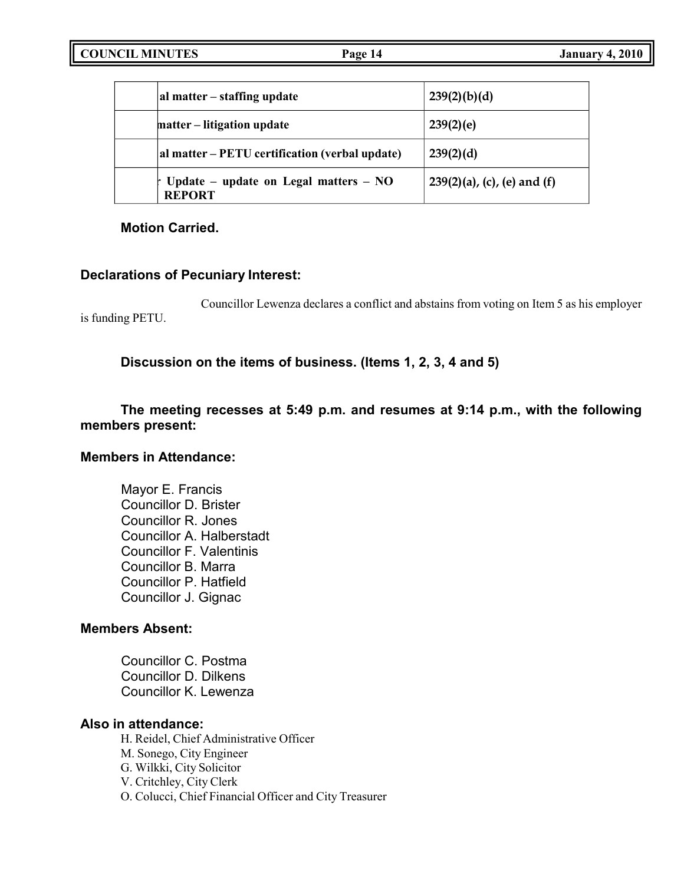| al matter – staffing update                                         | 239(2)(b)(d)                   |
|---------------------------------------------------------------------|--------------------------------|
| matter – litigation update                                          | 239(2)(e)                      |
| al matter – PETU certification (verbal update)                      | 239(2)(d)                      |
| $\mathbf{r}$ Update – update on Legal matters – NO<br><b>REPORT</b> | $239(2)(a)$ , (c), (e) and (f) |

**Motion Carried.**

# **Declarations of Pecuniary Interest:**

Councillor Lewenza declares a conflict and abstains from voting on Item 5 as his employer is funding PETU.

**Discussion on the items of business. (Items 1, 2, 3, 4 and 5)**

# **The meeting recesses at 5:49 p.m. and resumes at 9:14 p.m., with the following members present:**

# **Members in Attendance:**

Mayor E. Francis Councillor D. Brister Councillor R. Jones Councillor A. Halberstadt Councillor F. Valentinis Councillor B. Marra Councillor P. Hatfield Councillor J. Gignac

# **Members Absent:**

Councillor C. Postma Councillor D. Dilkens Councillor K. Lewenza

# **Also in attendance:**

H. Reidel, Chief Administrative Officer M. Sonego, City Engineer G. Wilkki, City Solicitor V. Critchley, City Clerk O. Colucci, Chief Financial Officer and City Treasurer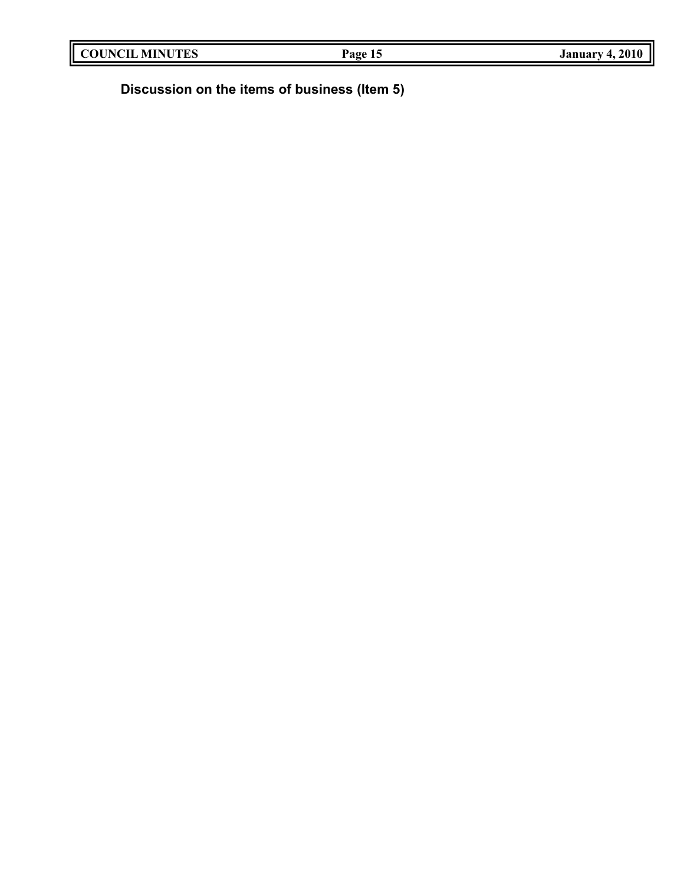|--|

**Discussion on the items of business (Item 5)**

II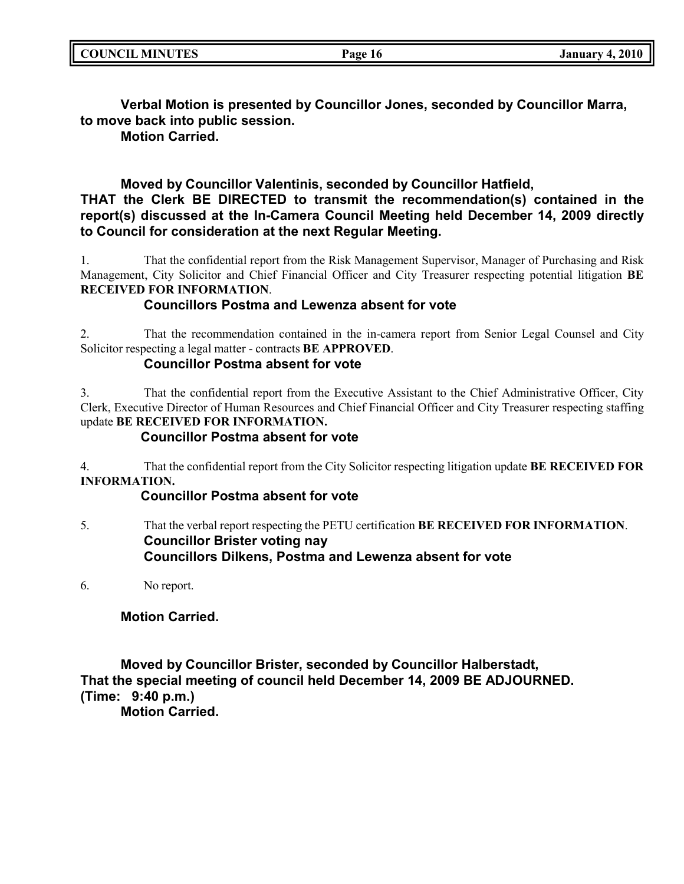| <b>COUNCIL MINUTES</b> | Page 16 | <b>January 4, 2010</b> |
|------------------------|---------|------------------------|
|                        |         |                        |

**Verbal Motion is presented by Councillor Jones, seconded by Councillor Marra, to move back into public session.**

**Motion Carried.**

# **Moved by Councillor Valentinis, seconded by Councillor Hatfield, THAT the Clerk BE DIRECTED to transmit the recommendation(s) contained in the report(s) discussed at the In-Camera Council Meeting held December 14, 2009 directly to Council for consideration at the next Regular Meeting.**

1. That the confidential report from the Risk Management Supervisor, Manager of Purchasing and Risk Management, City Solicitor and Chief Financial Officer and City Treasurer respecting potential litigation **BE RECEIVED FOR INFORMATION**.

# **Councillors Postma and Lewenza absent for vote**

2. That the recommendation contained in the in-camera report from Senior Legal Counsel and City Solicitor respecting a legal matter - contracts **BE APPROVED**.

# **Councillor Postma absent for vote**

3. That the confidential report from the Executive Assistant to the Chief Administrative Officer, City Clerk, Executive Director of Human Resources and Chief Financial Officer and City Treasurer respecting staffing update **BE RECEIVED FOR INFORMATION.**

# **Councillor Postma absent for vote**

4. That the confidential report from the City Solicitor respecting litigation update **BE RECEIVED FOR INFORMATION.**

# **Councillor Postma absent for vote**

5. That the verbal report respecting the PETU certification **BE RECEIVED FOR INFORMATION**. **Councillor Brister voting nay Councillors Dilkens, Postma and Lewenza absent for vote**

6. No report.

# **Motion Carried.**

**Moved by Councillor Brister, seconded by Councillor Halberstadt, That the special meeting of council held December 14, 2009 BE ADJOURNED. (Time: 9:40 p.m.)**

**Motion Carried.**